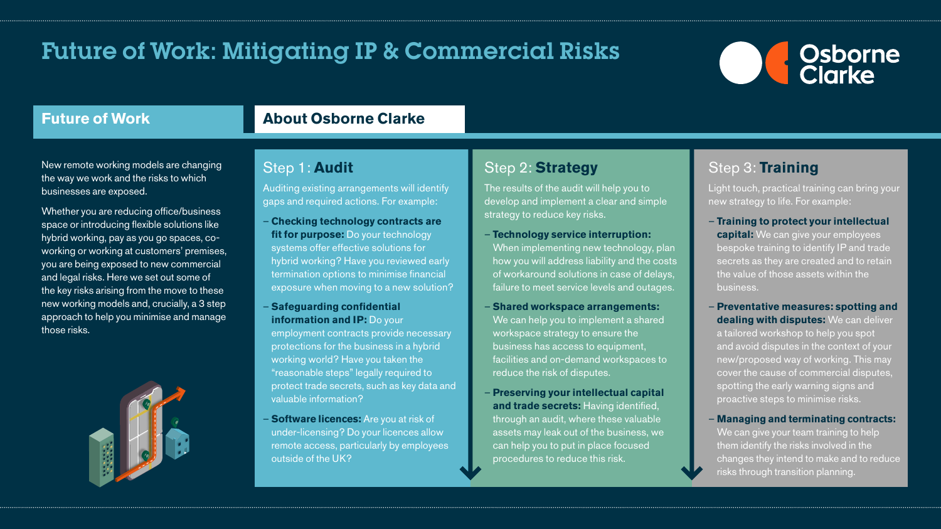# Future of Work: Mitigating IP & Commercial Risks



#### **Future of Work**

## **About Osborne Clarke**

New remote working models are changing the way we work and the risks to which businesses are exposed.

Whether you are reducing office/business space or introducing flexible solutions like hybrid working, pay as you go spaces, coworking or working at customers' premises, you are being exposed to new commercial and legal risks. Here we set out some of the key risks arising from the move to these new working models and, crucially, a 3 step approach to help you minimise and manage those risks.



# Step 1: **Audit**

Auditing existing arrangements will identify gaps and required actions. For example:

- **Checking technology contracts are fit for purpose:** Do your technology systems offer effective solutions for hybrid working? Have you reviewed early termination options to minimise financial exposure when moving to a new solution?
- **Safeguarding confidential information and IP: Do your** employment contracts provide necessary protections for the business in a hybrid working world? Have you taken the "reasonable steps" legally required to protect trade secrets, such as key data and valuable information?
- **Software licences:** Are you at risk of under-licensing? Do your licences allow remote access, particularly by employees outside of the UK?

# Step 2: **Strategy**

The results of the audit will help you to develop and implement a clear and simple strategy to reduce key risks.

- **Technology service interruption:** When implementing new technology, plan how you will address liability and the costs of workaround solutions in case of delays, failure to meet service levels and outages.
- **Shared workspace arrangements:** We can help you to implement a shared workspace strategy to ensure the business has access to equipment, facilities and on-demand workspaces to reduce the risk of disputes.
- **Preserving your intellectual capital and trade secrets:** Having identified, through an audit, where these valuable assets may leak out of the business, we can help you to put in place focused procedures to reduce this risk.

## Step 3: **Training**

Light touch, practical training can bring your new strategy to life. For example:

- **Training to protect your intellectual capital:** We can give your employees bespoke training to identify IP and trade secrets as they are created and to retain the value of those assets within the business.
- **Preventative measures: spotting and dealing with disputes:** We can deliver a tailored workshop to help you spot and avoid disputes in the context of your new/proposed way of working. This may cover the cause of commercial disputes, spotting the early warning signs and proactive steps to minimise risks.
- **Managing and terminating contracts:** We can give your team training to help them identify the risks involved in the changes they intend to make and to reduce risks through transition planning.